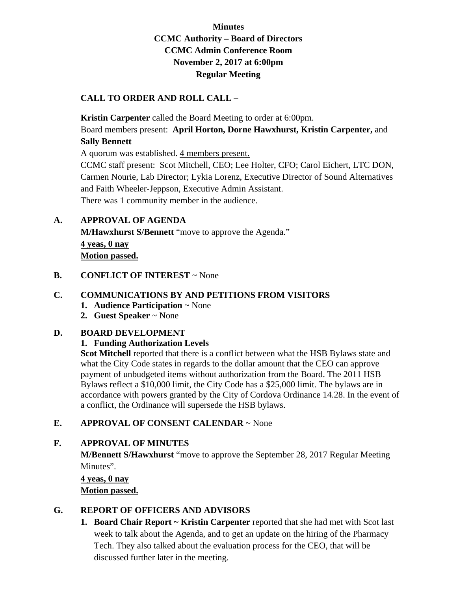## **Minutes CCMC Authority – Board of Directors CCMC Admin Conference Room November 2, 2017 at 6:00pm Regular Meeting**

#### **CALL TO ORDER AND ROLL CALL –**

**Kristin Carpenter** called the Board Meeting to order at 6:00pm. Board members present: **April Horton, Dorne Hawxhurst, Kristin Carpenter,** and **Sally Bennett** 

A quorum was established. 4 members present.

CCMC staff present: Scot Mitchell, CEO; Lee Holter, CFO; Carol Eichert, LTC DON, Carmen Nourie, Lab Director; Lykia Lorenz, Executive Director of Sound Alternatives and Faith Wheeler-Jeppson, Executive Admin Assistant. There was 1 community member in the audience.

## **A. APPROVAL OF AGENDA**

 **M/Hawxhurst S/Bennett** "move to approve the Agenda." **4 yeas, 0 nay Motion passed.** 

## **B. CONFLICT OF INTEREST** ~ None

## **C. COMMUNICATIONS BY AND PETITIONS FROM VISITORS**

- **1. Audience Participation** ~ None
- **2. Guest Speaker** ~ None

#### **D. BOARD DEVELOPMENT**

#### **1. Funding Authorization Levels**

**Scot Mitchell** reported that there is a conflict between what the HSB Bylaws state and what the City Code states in regards to the dollar amount that the CEO can approve payment of unbudgeted items without authorization from the Board. The 2011 HSB Bylaws reflect a \$10,000 limit, the City Code has a \$25,000 limit. The bylaws are in accordance with powers granted by the City of Cordova Ordinance 14.28. In the event of a conflict, the Ordinance will supersede the HSB bylaws.

## **E. APPROVAL OF CONSENT CALENDAR** ~ None

## **F. APPROVAL OF MINUTES**

**M/Bennett S/Hawxhurst** "move to approve the September 28, 2017 Regular Meeting Minutes".

**4 yeas, 0 nay Motion passed.** 

# **G. REPORT OF OFFICERS AND ADVISORS**

**1. Board Chair Report ~ Kristin Carpenter** reported that she had met with Scot last week to talk about the Agenda, and to get an update on the hiring of the Pharmacy Tech. They also talked about the evaluation process for the CEO, that will be discussed further later in the meeting.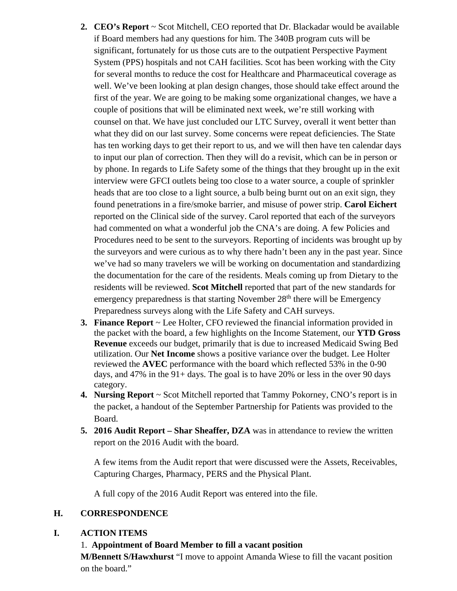- **2. CEO's Report** ~ Scot Mitchell, CEO reported that Dr. Blackadar would be available if Board members had any questions for him. The 340B program cuts will be significant, fortunately for us those cuts are to the outpatient Perspective Payment System (PPS) hospitals and not CAH facilities. Scot has been working with the City for several months to reduce the cost for Healthcare and Pharmaceutical coverage as well. We've been looking at plan design changes, those should take effect around the first of the year. We are going to be making some organizational changes, we have a couple of positions that will be eliminated next week, we're still working with counsel on that. We have just concluded our LTC Survey, overall it went better than what they did on our last survey. Some concerns were repeat deficiencies. The State has ten working days to get their report to us, and we will then have ten calendar days to input our plan of correction. Then they will do a revisit, which can be in person or by phone. In regards to Life Safety some of the things that they brought up in the exit interview were GFCI outlets being too close to a water source, a couple of sprinkler heads that are too close to a light source, a bulb being burnt out on an exit sign, they found penetrations in a fire/smoke barrier, and misuse of power strip. **Carol Eichert** reported on the Clinical side of the survey. Carol reported that each of the surveyors had commented on what a wonderful job the CNA's are doing. A few Policies and Procedures need to be sent to the surveyors. Reporting of incidents was brought up by the surveyors and were curious as to why there hadn't been any in the past year. Since we've had so many travelers we will be working on documentation and standardizing the documentation for the care of the residents. Meals coming up from Dietary to the residents will be reviewed. **Scot Mitchell** reported that part of the new standards for emergency preparedness is that starting November  $28<sup>th</sup>$  there will be Emergency Preparedness surveys along with the Life Safety and CAH surveys.
- **3. Finance Report** ~ Lee Holter, CFO reviewed the financial information provided in the packet with the board, a few highlights on the Income Statement, our **YTD Gross Revenue** exceeds our budget, primarily that is due to increased Medicaid Swing Bed utilization. Our **Net Income** shows a positive variance over the budget. Lee Holter reviewed the **AVEC** performance with the board which reflected 53% in the 0-90 days, and 47% in the 91+ days. The goal is to have 20% or less in the over 90 days category.
- **4. Nursing Report** ~ Scot Mitchell reported that Tammy Pokorney, CNO's report is in the packet, a handout of the September Partnership for Patients was provided to the Board.
- **5. 2016 Audit Report Shar Sheaffer, DZA** was in attendance to review the written report on the 2016 Audit with the board.

A few items from the Audit report that were discussed were the Assets, Receivables, Capturing Charges, Pharmacy, PERS and the Physical Plant.

A full copy of the 2016 Audit Report was entered into the file.

#### **H. CORRESPONDENCE**

#### **I. ACTION ITEMS**

#### 1. **Appointment of Board Member to fill a vacant position**

**M/Bennett S/Hawxhurst** "I move to appoint Amanda Wiese to fill the vacant position on the board."